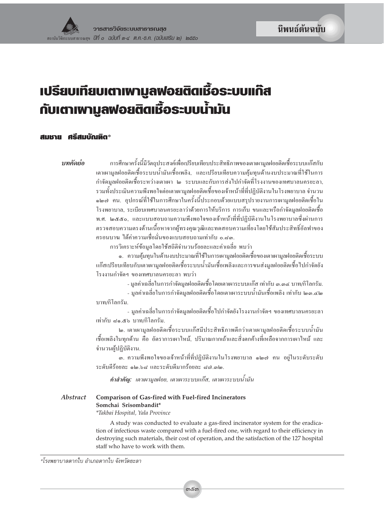นิพนธ์ต้นฉบับ

# **เปรียบเทียบเตาเพามูลฟอยติดเชื้อระบบเทิส** กับเตาเพา<u>ม</u>ูลฟอยติดเชื้อระบบน้ำมัน

#### สมเภย ศรีสมบัณฑิต\*

#### าเทคัดย่อ

การศึกษาครั้งนี้มีวัตถุประสงค์เพื่อเปรียบเทียบประสิทธิภาพของเตาเผามูลฝอยติดเชื้อระบบแก๊สกับ เตาเผามลฝอยติดเชื้อระบบน้ำมันเชื้อเพลิง, และเปรียบเทียบความค้มทนด้านงบประมาณที่ใช้ในการ กำจัดมลฝอยติดเชื้อระหว่างเตาเผา ๒ ระบบและกับการส่งไปกำจัดที่โรงงานของเทศบาลนครยะลา, รวมทั้งประเมินความพึงพอใจต่อเตาเผามูลฝอยติดเชื้อของเจ้าหน้าที่ที่ปฏิบัติงานในโรงพยาบาล จำนวน ๑๒๗ คน. อุปกรณ์ที่ใช้ในการศึกษาในครั้งนี้ประกอบด้วยแบบสรุปรายงานการเผามูลฝอยติดเชื้อใน โรงพยาบาล, ระเบียบเทศบาลนครยะลาว่าด้วยการให้บริการ การเก็บ ขนและหรือกำจัดมลฝอยติดเชื้อ พ.ศ. ๒๕๕๐, และแบบสอบถามความพึงพอใจของเจ้าหน้าที่ที่ปฏิบัติงานในโรงพยาบาลซึ่งผ่านการ ตรวจสอบความตรงค้านเนื้อหาจากผ้ทรงคณวฒิและทดสอบความเที่ยงโดยใช้สัมประสิทธิ์อัลฟาของ ้ครอนบาฆ ได้ค่าความเชื่อมั่นของแบบสอบถามเท่ากับ ๑.๘๑.

การวิเคราะห์ข้อมลโดยใช้สถิติจำนวนร้อยละและค่าเฉลี่ย พบว่า

๑. ความคุ้มทุนในด้านงบประมาณที่ใช้ในการเผามูลฝอยติดเชื้อของเตาเผามูลฝอยติดเชื้อระบบ แก๊สเปรียบเทียบกับเตาเผามูลฝอยติดเชื้อระบบน้ำมันเชื้อเพลิงและการขนส่งมูลฝอยติดเชื้อไปกำจัดยัง โรงงานกำจัดฯ ของเทศบาลนครยะลา พบว่า

- มลค่าเฉลี่ยในการกำจัดมลฝอยติดเชื้อ โดยเตาเผาระบบแก๊ส เท่ากับ ๑.๑๔ บาท/กิโลกรัม.

- มูลค่าเฉลี่ยในการกำจัดมูลฝอยติดเชื้อโดยเตาเผาระบบน้ำมันเชื้อเพลิง เท่ากับ ๒๑.๔๒ บาท/กิโลกรัม.

- มูลค่าเฉลี่ยในการกำจัดมูลฝอยติดเชื้อไปกำจัดยังโรงงานกำจัดฯ ของเทศบาลนครยะลา เท่ากับ ๘๑.๕๖ บาท/กิโลกรัม.

๒. เตาเผามูลฝอยติดเชื้อระบบแก๊สมีประสิทธิภาพดีกว่าเตาเผามูลฝอยติดเชื้อระบบน้ำมัน เชื้อเพลิงในทุกค้าน คือ อัตราการเผาใหม้, ปริมาณกากเถ้าและสิ่งตกค้างที่เหลือจากการเผาใหม้ และ จำนวนผู้ปฏิบัติงาน.

.<br>๑. ความพึงพอใจของเจ้าหน้าที่ที่ปฏิบัติงานในโรงพยาบาล ๑๒๗ คน อยู่ในระดับระดับ ระดับดีร้อยละ ๑๒.๖๘ และระดับดีมากร้อยละ ๘๗.๓๒.

<mark>คำสำคัญ:</mark> เตาเผามูลฝอย, เตาเผาระบบแก๊ส, เตาเผาระบบน้ำมัน

Abstract **Comparison of Gas-fired with Fuel-fired Incinerators** Somchai Srisombandit\* \*Takbai Hospital, Yala Province

> A study was conducted to evaluate a gas-fired incinerator system for the eradication of infectious waste compared with a fuel-fired one, with regard to their efficiency in destroying such materials, their cost of operation, and the satisfaction of the 127 hospital staff who have to work with them.

\*โรงพยาบาลตากใบ อำเภอตากใบ จังหวัดยะลา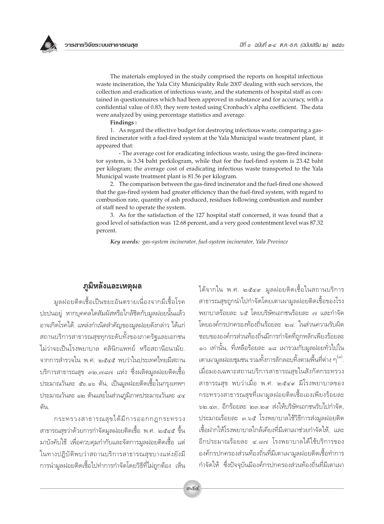The materials employed in the study comprised the reports on hospital infectious waste incineration, the Yala City Municipality Rule 2007 dealing with such services, the collection and eradication of infectious waste, and the statements of hospital staff as contained in questionnaires which had been approved in substance and for accuracy, with a confidential value of 0.83; they were tested using Cronbach's alpha coefficient. The data were analyzed by using percentage statistics and average.

Findings:

1. As regard the effective budget for destroying infectious waste, comparing a gasfired incinerator with a fuel-fired system at the Yala Municipal waste treatment plant, it appeared that:

- The average cost for eradicating infectious waste, using the gas-fired incinerator system, is 3.34 baht perkilogram, while that for the fuel-fired system is 23.42 baht per kilogram; the average cost of eradicating infectious waste transported to the Yala Municipal waste treatment plant is 81.56 per kilogram.

2. The comparison between the gas-fired incinerator and the fuel-fired one showed that the gas-fired system had greater efficiency than the fuel-fired system, with regard to combustion rate, quantity of ash produced, residues following combustion and number of staff need to operate the system.

3. As for the satisfaction of the 127 hospital staff concerned, it was found that a good level of satisfaction was 12.68 percent, and a very good contentment level was 87.32 percent.

Key words: gas-system incinerator, fuel-system incinerator, Yala Province

### ภูมิหลังและเหตุผล

มูลฝอยติดเชื้อเป็นขยะอันตรายเนื่องจากมีเชื้อโรค ปะปนอยู่ หากบุคคลใดสัมผัสหรือใกล้ชิดกับมูลฝอยนั้นแล้ว ้อาจเกิดโรคได้. แหล่งกำเนิดสำคัญของมูลฝอยดังกล่าว ได้แก่ สถานบริการสาธารณสุขทุกระดับทั้งของภาครัฐและเอกชน ไม่ว่าจะเป็นโรงพยาบาล คลินิกแพทย์ หรือสถานีอนามัย. จากการสำรวจใน พ.ศ. ๒๕๔๕ พบว่าในประเทศไทยมีสถาน บริการสาธารณสุข ๓๒,๗๘๗ แห่ง ซึ่งผลิตมูลฝอยติดเชื้อ ประมาณวันละ ๕๖.๑๖ ตัน, เป็นมูลฝอยติดเชื้อในกรุงเทพฯ ประมาณวันละ ๑๒ ตันและในส่วนภูมิภาคประมาณวันละ ๔๔ ตัน.

กระทรวงสาธารณสุขได้มีการออกกฎกระทรวง ิสาธารณสุขว่าด้วยการกำจัดมูลฝอยติดเชื้อ พ.ศ. ๒๕๔๕ ขึ้น มาบังคับใช้ เพื่อควบคุมกำกับและจัดการมูลฝอยติดเชื้อ แต่ ในทางปฏิบัติพบว่าสถานบริการสาธารณสุขบางแห่งยังมี การนำมูลฝอยติดเชื้อไปทำการกำจัดโดยวิธีที่ไม่ถูกต้อง เห็น ได้จากใน พ.ศ. ๒๕๔๙ มูลฝอยติดเชื้อในสถานบริการ สาธารณสุขถูกนำไปกำจัดโดยเตาเผามูลฝอยติดเชื้อของโรง พยาบาลร้อยละ ๖๕ โดยบริษัทเอกชนร้อยละ ๗ และกำจัด โดยองค์กรปกครองท้องถิ่นร้อยละ ๒๘. ในส่วนความรับผิด ชอบขององค์กรส่วนท้องถิ่นมีการกำจัดที่ถูกหลักเพียงร้อยละ ๑๐ เท่านั้น, ที่เหลือร้อยละ ๑๘ เผารวมกับมูลฝอยทั่วไปใน เตาเผามูลฝอยชุมชน รวมทั้งการลักลอบทิ้งตามพื้นที่ต่าง ๆ <sup>(๑)</sup>. เมื่อมองเฉพาะสถานบริการสาธารณสุขในสังกัดกระทรวง สาธารณสุข พบว่าเมื่อ พ.ศ. ๒๕๔๙ มีโรงพยาบาลของ ้กระทรวงสาธารณสุขที่เผามูลฝอยติดเชื้อเองเพียงร้อยละ ๖๒.๔๓, อีกร้อยละ ๒๓.๒๙ ส่งให้บริษัทเอกชนรับไปกำจัด. ประมาณร้อยละ ๓.๖๕ โรงพยาบาลใช้วิธีการส่งมูลฝอยติด เชื้อฝากให้โรงพยาบาลใกล้เคียงที่มีเตาเผาช่วยกำจัดให้.. และ อีกประมาณร้อยละ ๔.๘๗ โรงพยาบาลได้ใช้บริการของ องค์กรปกครองส่วนท้องถิ่นที่มีเตาเผามูลฝอยติดเชื้อทำการ ้กำจัดให้ ซึ่งปัจจุบันมีองค์กรปกครองส่วนท้องถิ่นที่มีเตาเผา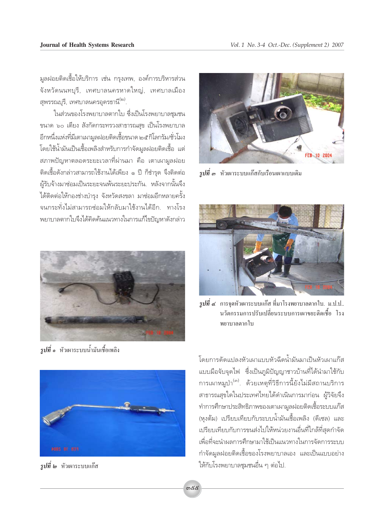มูลฝอยติดเชื้อให้บริการ เช่น กรุงเทพ, องค์การบริหารส่วน จังหวัดนนทบุรี, เทศบาลนครหาดใหญ่, เทศบาลเมือง สุพรรณบุรี, เทศบาลนครอุดรธานี<sup>(๒)</sup>.

ในส่วนของโรงพยาบาลตากใบ ซึ่งเป็นโรงพยาบาลชมชน ขนาด ๖๐ เตี๋ยง สังกัดกระทรวงสาธารณสุข เป็นโรงพยาบาล อีกหนึ่งแห่งที่มีเตาเผามูลฝอยติดเชื้อขนาด ๒๕ กิโลกรัม/ชั่วโมง โดยใช้น้ำมันเป็นเชื้อเพลิงสำหรับการกำจัดมลฝอยติดเชื้อ แต่ ิสภาพปัญหาตลอดระยะเวลาที่ผ่านมา คือ เตาเผามูลฝอย ติดเชื้อดังกล่าวสามารถใช้งานได้เพียง ๑ ปี ก็ชำรด จึงติดต่อ ผู้รับจ้างมาซ่อมเป็นระยะจนพ้นระยะประกัน. หลังจากนั้นจึง ได้ติดต่อให้กองช่างบำรุง จังหวัดสงขลา มาซ่อมอีกหลายครั้ง ้จนกระทั่งไม่สามารถซ่อมให้กลับมาใช้งานได้อีก ทางโรง พยาบาลตากใบจึงได้คิดค้นแนวทางในการแก้ไขปัญหาดังกล่าว



 $\tilde z$ ปที่ ๑ หัวเผาระบบน้ำมันเชื้อเพลิง



*รปที่ ๒* หัวเผาระบบแก๊ส



*รปที่ ๑* หัวเผาระบบแก๊สกับเรือนเผาแบบเดิม



 $\tilde z$ ปที่ ๔ การจุดหัวเผาระบบแก๊ส ที่มาโรงพยาบาลตากใบ. ม.ป.ป.. นวัตกรรมการปรับเปลี่ยนระบบการเผาขยะติดเชื้อ โรง พยาบาลตากใบ

โดยการดัดแปลงหัวเผาแบบหัวฉีดน้ำมันมาเป็นหัวเผาแก๊ส แบบมือจับจุดไฟ ซึ่งเป็นภูมิปัญญาชาวบ้านที่ได้นำมาใช้กับ การเผาหมูป่า<sup>(๓)</sup>. ด้วยเหตุที่วิธีการนี้ยังไม่มีสถานบริการ สาธารณสุขใดในประเทศไทยได้ดำเนินการมาก่อน ผู้วิจัยจึง ู ทำการศึกษาประสิทธิภาพของเตาเผามูลฝอยติดเชื้อระบบแก๊ส (หุงต้ม) เปรียบเทียบกับระบบน้ำมันเชื้อเพลิง (ดีเซล) และ เปรียบเทียบกับการขนส่งไปให้หน่วยงานอื่นที่ใกล้ที่สุดกำจัด เพื่อที่จะนำผลการศึกษามาใช้เป็นแนวทางในการจัดการระบบ ้กำจัดมูลฝอยติดเชื้อของโรงพยาบาลเอง และเป็นแบบอย่าง ให้กับโรงพยาบาลชุมชนอื่น ๆ ต่อไป.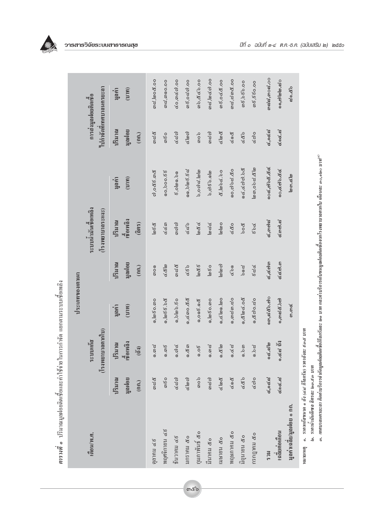|  | ŵ, |
|--|----|
|  |    |

ตารางที่ ๑ ปริมาณมูลฝอยดิดเชื้อและค่าใช้ง่ายในการกำจัด แยกตามระบบเชื้อเพลิง

|                                                                    |                          |                                                  | ประเภทของเตาเผา |                           |                                                        |                           |                         |                                                 |
|--------------------------------------------------------------------|--------------------------|--------------------------------------------------|-----------------|---------------------------|--------------------------------------------------------|---------------------------|-------------------------|-------------------------------------------------|
| เดือน/พ.ศ.                                                         |                          | $($ โรงพยาบาลตากใบ)<br>ระบบเกิส                  |                 |                           | ระบบนำมันเชื้อเพลิง<br>$(l_3$ ywenningsuse $)$         |                           |                         | ใปกำจัดที่เทศบาลนครยะลา<br>การส่งมูลฝอยติดเชื้อ |
|                                                                    | ปริมาณ<br>นูลฝอย<br>(nn) | เชื้อเพลิง<br>ปริมาณ<br>$\widetilde{\mathbb{G}}$ | นูลค่า<br>(11)  | ปริมาณ<br>มูลฝอย<br>(nn.) | เชื้อเพลิง<br>ปริมาณ<br>$\widehat{(\mathfrak{g}}$ 015) | (11)<br>มูลค่า            | ปริมาณ<br>นดคอย<br>(nn) | (11)<br>มูลค่า                                  |
| ตุลาคม ๔ธ                                                          | <b>ඉය දී</b>             | ෙ.ග <i>ය</i>                                     | െ, മ്രദ് റ. നറ  | ၈၀၈                       | $\ln 5\alpha$                                          | ය), යෙදි දි . ගා රි       | ೧೧೭೬                    | തെ പ്രാഷ്. 00                                   |
| พฤศจิกายน ๔ธ                                                       | $m\leqslant$             | 0.06                                             | $0, \log 55.58$ | $\alpha \alpha$           | <u>දේ ද්</u> ඛ                                         | 99.000,000                | <b>කර්</b>              | റെപ്പ്, ആറ.ഠഠ                                   |
| BAJIAN GE                                                          | <b>Gdd</b>               | ெல்                                              | 0,0000.60       | co co ce                  | <i>ရာ</i> င္ပာ တဲ့                                     | 6,0000.50                 | <b>Gdd</b>              | ๔๐,๓๔๗.๐๐                                       |
| มกราคม ๕๐                                                          | $\alpha$ lon $\varphi$   | 0.60                                             | 0,400.88        | 68                        | <b>G25</b>                                             | 60,0006.62                | $\alpha$ lon $\Omega$   | <i>ශ</i> ේශය, 00                                |
| กุมภาพันธ์ ๕๐                                                      | q                        | 0.06                                             | 0,0005.008      | $\ln 26$                  | $\log \alpha$                                          | ၁,၀၈๘ ไတတြ                | ရာဝေ                    | 00.623.6                                        |
| มีนาคม ๕๐                                                          | ගයය                      | ෙ.ග.ද                                            | െ. കെ. ക        | 660                       | <b>Jac2</b>                                            | 5,0650.060                | ගයග                     | തെ , ത്ര ഭ ന . 00                               |
| เมษายน ๕๐                                                          | $d \log d$               | $\frac{2}{3}$<br>⊚                               | ை (வெல்), ல     | $\omega$ $\omega$         | மெ                                                     | 8, 10006.00               | $d \nabla d$            | 00.9206                                         |
| พฤษภาคม ๕๐                                                         | 698                      | 9.62                                             | െ.യെ യ          | 690                       | G&0                                                    | 09.8999                   | 698                     | തെ പ്ല ക ക് .00                                 |
| นิถุนายน ๕๐                                                        | 689                      | 0.5m                                             | 9, 8 0 6.08     | ಕಿಂದ್ದ                    | boc                                                    | 94.6000.00                | 685                     | m6, b65.00                                      |
| กรกฎาคม ๕๐                                                         | $\epsilon$ ao            | 9.62                                             | ෙය දෙයා         | ಕ್ಷತ್ನ                    | 586                                                    | [ක ග, 0 ව ය'. <u>අ</u> [ක | $\epsilon$ ao           | 00.099,8%                                       |
| <b>NCS</b>                                                         | <b>ھ, مردم</b>           | ೧೬.ನಠ                                            | ෩ඁ෬෯෨           | ๔,๔๗๓                     | ៤,៣៧៩                                                  | ෙ๔,๗๖๕.๕๔                 | <b>ھ, مرد جا</b>        | ගය්ය,ගංය.00                                     |
| เฉลียต่อเดือน                                                      | 696.6                    | <b>୍ଟ୍</b> ଟ ଶି                                  | ෧,෨෬෫෫෭෨        | ය.ය.ය                     | ៤៣៧.៩                                                  | ෧ <b>ඁ෫</b> ෯෧෭෫          | ೬೦೯.೬                   | ෧෧,ඏ෩෬෮                                         |
| มูลค่าเฉลีย/มูลฝอย ๑ กก.                                           |                          |                                                  | <b>ನಿ.ಎ</b>     |                           |                                                        | <b>முறை, கு</b>           |                         | ದೊ.๕๖                                           |
| ๑.  ราคาแก๊สขนาด ๑ ถึง (๔๔ กิโลกรัม) ราคาถึงละ ธ๓๕ บาท<br>หมายเหตุ |                          |                                                  |                 |                           |                                                        |                           |                         |                                                 |

෨๕๖

 $\tilde{z}$ 600 G  $\epsilon$ นาคร (recupiu 29) ค.ศ. ை வேடியில்<br>க เยเหตุ

๒. ราคาน้ำมันดีเซล ลิตรละ ๒๓.ธ๓ บาท

.๑. เทศบาลนครยะลา คิดค่าบริการจำกัดมูลฝอยติดเชื้อกีโลกรัมละ ๒๑ บาท และค่าบริการเก็บขนมูลฝอยดิตช์อจากโรงพยาบาลตากใบ เดือนละ ๑๐,๑๒๐ บาท<sup>๔ฦ</sup>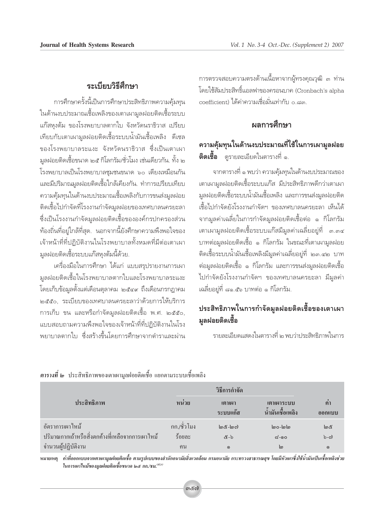## ระเบียบวิธีศึกษา

การศึกษาครั้งนี้เป็นการศึกษาประสิทธิภาพความคุ้มทุน ในด้านงบประมาณเชื้อเพลิงของเตาเผามูลฝอยติดเชื้อระบบ แก๊สหุงต้ม ของโรงพยาบาลตากใบ จังหวัดนราธิวาส เปรียบ เทียบกับเตาเผามูลฝอยติดเชื้อระบบน้ำมันเชื้อเพลิง ดีเซล ของโรงพยาบาลระแงะ จังหวัดนราธิวาส ซึ่งเป็นเตาเผา มลฝอยติดเชื้อขนาด ๒๕ กิโลกรัม/ชั่วโมง เช่นเดียวกัน. ทั้ง ๒ โรงพยาบาลเป็นโรงพยาบาลชุมชนขนาด ๖๐ เตี้ยงเหมือนกัน และมีปริมาณมูลฝอยติดเชื้อใกล้เคียงกัน. ทำการเปรียบเทียบ ิ ความคุ้มทุนในด้านงบประมาณเชื้อเพลิงกับการขนส่งมูลฝอย ติดเชื้อไปกำจัดที่โรงงานกำจัดมูลฝอยของเทศบาลนครยะลา ซึ่งเป็นโรงงานกำจัดมูลฝอยติดเชื้อขององค์กรปกครองส่วน ้ท้องถิ่นที่อยู่ใกล้ที่สุด. นอกจากนี้ยังศึกษาความพึงพอใจของ เจ้าหน้าที่ที่ปฏิบัติงานในโรงพยาบาลทั้งหมดที่มีต่อเตาเผา มูลฝอยติดเชื้อระบบแก๊สหุงต้มนี้ด้วย.

เครื่องมือในการศึกษา ได้แก่ แบบสรุปรายงานการเผา มูลฝอยติดเชื้อในโรงพยาบาลตากใบและโรงพยาบาลระแงะ โดยเก็บข้อมูลตั้งแต่เดือนตุลาคม ๒๕๔๙ ถึงเดือนกรกฎาคม ๒๕๕๐. ระเบียบของเทศบาลนครยะลาว่าด้วยการให้บริการ การเก็บ ขน และหรือกำจัดมูลฝอยติดเชื้อ พ.ศ. ๒๕๕๐, แบบสอบถามความพึ่งพอใจของเจ้าหน้าที่ที่ปฏิบัติงานในโรง ้พยาบาลตากใบ ซึ่งสร้างขึ้นโดยการศึกษาจากตำราและผ่าน

การตรวจสอบความตรงด้านเนื้อหาจากผู้ทรงคุณวุฒิ ๓ ท่าน โดยใช้สัมประสิทธิ์แอลฟาของครอนบาค (Cronbach's alpha coefficient) ได้ค่าความเชื่อมั่นเท่ากับ o ๘๓

### ผลการศึกษา

# ความคุ้มทุนในด้านงบประมาณที่ใช้ในการเผามูลฝอย **ติดเชื้อ** ดรายละเอียดในตารางที่ ๑.

ิจากตารางที่ ๑ พบว่า ความคุ้มทุนในด้านงบประมาณของ เตาเผามูลฝอยติดเชื้อระบบแก๊ส มีประสิทธิภาพดีกว่าเตาเผา ้มูลฝอยติดเชื้อระบบน้ำมันเชื้อเพลิง และการขนส่งมูลฝอยติด เชื้อไปกำจัดยังโรงงานกำจัดฯ ของเทศบาลนครยะลา เห็นได้ ้จากมูลค่าเฉลี่ยในการกำจัดมูลฝอยติดเชื้อต่อ ๑ กิโลกรัม เตาเผามูลฝอยติดเชื้อระบบแก๊สมีมูลค่าเฉลี่ยอยู่ที่ ๓.๓๔ ้บาทต่อมูลฝอยติดเชื้อ ๑ กิโลกรัม ในขณะที่เตาเผามูลฝอย ติดเชื้อระบบน้ำมันเชื้อเพลิงมีมูลค่าเฉลี่ยอยู่ที่ ๒๓.๔๒ บาท ้ต่อมูลฝอยติดเชื้อ ๑ กิโลกรัม และการขนส่งมูลฝอยติดเชื้อ ไปกำจัดยังโรงงานกำจัดฯ ของเทศบาลนครยะลา มีมูลค่า เฉลี่ยอยู่ที่ ๘๑.๕๖ บาทต่อ ๑ กิโลกรัม.

# ประสิทธิภาพในการกำจัดมูลฝอยติดเชื้อของเตาเผา มูลฝอยติดเชื้อ

รายละเอียดแสดงในตารางที่ ๒ พบว่าประสิทธิภาพในการ

|                                                  |              | วิธีการกำจัด         |                                |               |
|--------------------------------------------------|--------------|----------------------|--------------------------------|---------------|
| ประสิทธิภาพ                                      | ิหน่วย       | เตาเผา<br>ระบบแก๊ส   | เตาเผาระบบ<br>น้ำมันเชื้อเพลิง | ค่า<br>ออกแบบ |
| อัตราการเผาไหม้                                  | ึกก./ชั่วโมง | $\omega$ &- $\omega$ | loo-lolo                       | ෨             |
| ปริมาณกากเถ้าหรือสิ่งตกค้างที่เหลือจากการเผาไหม้ | ร้อยละ       | &-ಶ                  | $\approx$ -೧೦                  | $b - c$       |
| จำนวนผู้ปฏิบัติงาน                               | ึกน          | $\odot$              | ကြ                             | $\odot$       |

| <b>ิตารางที่ ๒</b> ประสิทธิภาพของเตาเผามลฝอยติดเชื้อ แยกตามระบบเชื้อเพลิง |  |  |
|---------------------------------------------------------------------------|--|--|
|                                                                           |  |  |

หมายเหตุ ค่าที่ออกแบบจากเตาเผามูลฝอยติดเชื้อ ตามรูปแบบของสำนักอนามัยสิ่งแวดล้อม กรมอนามัย กระทรวงสาธารณสุข โดยมีหัวเผาซึ่งใช้น้ำมันเป็นเชื้อเพลิงช่วย ในการเผาไหม้ของมลฝอยติดเชื้อขนาด ๒๕ กก./ชม.<sup>(๕,๖)</sup>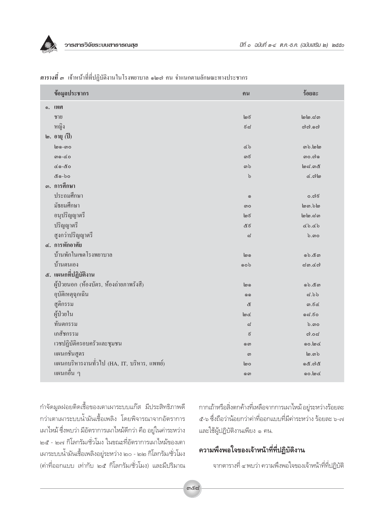|           | ข้อมูลประชากร                               | ุกน                        | ร้อยละ                 |
|-----------|---------------------------------------------|----------------------------|------------------------|
| $\odot$ . | เพศ                                         |                            |                        |
|           | ชาย                                         | $\ln 5$                    | lo                     |
|           | หญิง                                        | ೯ನ                         | $c$ ) $c$ ). $s$ $c$ ) |
|           | $\mathbf{b}$ . อายุ (ปี)                    |                            |                        |
|           | စြစ္ပ - စာဝ                                 | くら                         | ை. மங்                 |
|           | $\n  5$                                     | ගරි                        |                        |
|           | $60 - 80$                                   | <u>ດາ ໄວ</u>               | $\omega$ and           |
|           | & の-bo                                      | $\mathfrak{b}$             | $\alpha$ . $\alpha$ lo |
|           | ๑. การศึกษา                                 |                            |                        |
|           | ประถมศึกษา                                  | $\odot$                    | 0.076                  |
|           | มัธยมศึกษา                                  | ၈၀                         | $\log$ . $\log$        |
|           | อนุปริญญาตรี                                | అక                         | lo                     |
|           | ปริญญาตรี                                   | &ಕ                         | $d$ b. $d$ b           |
|           | สูงกว่าปริญญาตรี                            | $\boldsymbol{\mathcal{Z}}$ | $b.\omega$             |
|           | ๔. การพักอาศัย                              |                            |                        |
|           | บ้านพักในเขตโรงพยาบาล                       | စြစ                        | වෝජග                   |
|           | บ้านตนเอง                                   | GOQ                        | $\approx$ ด.๔๗         |
|           | ๕. แผนกที่ปฏิบัติงาน                        |                            |                        |
|           | ผู้ป่วยนอก (ห้องบัตร, ห้องถ่ายภาพรังสี)     | တြ                         | 60.໕෨                  |
|           | อุบัติเหตุฉุกเฉิน                           | $\odot$                    | d.b                    |
|           | สูติกรรม                                    | ද්                         | $m.5$ රු               |
|           | ผู้ป่วยใน                                   | $\log$                     | ೧ನೆ.ಕಂ                 |
|           | ทันตกรรม                                    | ದ                          | $b.\omega$ o           |
|           | เภสัชกรรม                                   | $\vec{\epsilon}$           | $\omega$ .ಂದ           |
|           | เวชปฏิบัติครอบครัวและชุมชน                  | ை                          | 00.loc                 |
|           | แผนกชันสูตร                                 | ၈                          | $\omega$ . $\omega$    |
|           | แผนกบริหารงานทั่วไป (HA, IT, บริหาร, แพทย์) | စြဝ                        | න් ගායී                |
|           | ้แผนกอื่น ๆ                                 | ை                          | 00.loc                 |

|  | ี <mark>ตารางที่</mark> ๓ เจ้าหน้าที่ที่ปฏิบัติงานในโรงพยาบาล ๑๒๗ คน จำแนกตามลักษณะทางประชากร |  |  |
|--|-----------------------------------------------------------------------------------------------|--|--|
|  |                                                                                               |  |  |

กำจัดมูลฝอยติดเชื้อของเตาเผาระบบแก๊ส มีประสิทธิภาพดี กว่าเตาเผาระบบน้ำมันเชื้อเพลิง โดยพิจารณาจากอัตราการ เผาไหม้ ซึ่งพบว่า มีอัตราการเผาไหม้ดีกว่า คือ อยู่ในค่าระหว่าง ๒๕ - ๒๗ กิโลกรัม/ชั่วโมง ในขณะที่อัตราการเผาไหม้ของเตา เผาระบบน้ำมันเชื้อเพลิงอยู่ระหว่าง ๒๐ - ๒๒ กิโลกรัม/ชั่วโมง (ค่าที่ออกแบบ เท่ากับ ๒๕ กิโลกรัม/ชั่วโมง) และมีปริมาณ กากเถ้าหรือสิ่งตกค้างที่เหลือจากการเผาไหม้ อยู่ระหว่างร้อยละ ้ ๕-๖ ซึ่งถือว่าน้อยกว่าค่าที่ออกแบบที่มีค่าระหว่าง ร้อยละ ๖-๗ และใช้ผู้ปฏิบัติงานเพียง ๑ คน.

# ความพึงพอใจของเจ้าหน้าที่ที่ปฏิบัติงาน

จากตารางที่ ๔ พบว่า ความพึงพอใจของเจ้าหน้าที่ที่ปฏิบัติ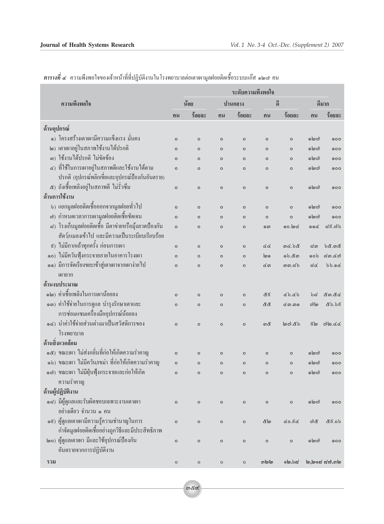|                     |                                                     |              | ระดับความพึงพอใจ |         |         |               |                |                  |                 |
|---------------------|-----------------------------------------------------|--------------|------------------|---------|---------|---------------|----------------|------------------|-----------------|
| ความพึ่งพอใจ        |                                                     | น้อย         |                  | ปานกลาง |         | ดี            |                |                  | ดีมาก           |
|                     |                                                     | ุกน          | ร้อยละ           | คน      | ร้อยละ  | ุกน           | ร้อยละ         | ุกน              | ร้อยละ          |
| ด้านอุปกรณ์         |                                                     |              |                  |         |         |               |                |                  |                 |
|                     | ๑) โครงสร้างเตาเผามีความแข็งแรง มั่นคง              | $\circ$      | $\circ$          | $\circ$ | $\circ$ | $\circ$       | $\circ$        | <u> ၈ (၈</u> c)  | 000             |
|                     | ๒) เตาเผาอยู่ในสภาพใช้งานได้ปรกติ                   | $\circ$      | $\circ$          | $\circ$ | $\circ$ | $\circ$       | $\circ$        | வெலி             | 000             |
|                     | ๑) ใช้งานได้ปรกติ ไม่ขัดข้อง                        | $\circ$      | $\circ$          | $\circ$ | $\circ$ | $\circ$       | $\circ$        | <u> ၈ (၈ c)</u>  | QOO             |
|                     | ๔) ที่ใช้ในการเผาอยู่ในสภาพดีและใช้งานได้ตาม        | $\circ$      | $\circ$          | $\circ$ | $\circ$ | $\circ$       | $\circ$        | <u> ၈ (၈ c)</u>  | QOO             |
|                     | ปรกติ (อุปกรณ์พลิกเขี่ยและอุปกรณ์ป้องกันอันตราย)    |              |                  |         |         |               |                |                  |                 |
|                     | ๕) ถังเชื้อเพลิงอยู่ในสภาพดี ไม่รั่วซึม             | $\circ$      | $\circ$          | $\circ$ | $\circ$ | $\circ$       | $\circ$        | <u> ၈ (၈ (၅</u>  | 000             |
|                     | ด้านการใช้งาน                                       |              |                  |         |         |               |                |                  |                 |
|                     | b) แยกมูลฝอยติดเชื้อออกจากมูลฝอยทั่วไป              | $\circ$      | $\circ$          | $\circ$ | $\circ$ | $\circ$       | $\circ$        | <u> ၈ (၈ (၅</u>  | 000             |
|                     | ๗) กำหนดเวลาการเผามูลฝอยติดเชื้อชัดเจน              | $\circ$      | $\circ$          | $\circ$ | $\circ$ | $\circ$       | $\circ$        | ෧๒๗              | 000             |
|                     | ๘) โรงเก็บมูลฝอยติดเชื้อ มีตาข่ายหรือมุ้งลวดป้องกัน | $\circ$      | $\circ$          | $\circ$ | $\circ$ | ை             | oo.loc         | QQ               | ಧಕ.ದಿ           |
|                     | สัตว์/แมลงเข้าไป และมีความเป็นระเบียบเรียบร้อย      |              |                  |         |         |               |                |                  |                 |
| $\boldsymbol{\xi})$ | ไม่มีกากเถ้าทุกครั้ง ก่อนการเผา                     | $\circ$      | $\circ$          | $\circ$ | $\circ$ | ৫৫            | god, b&        | ๘๓               | <u>ර්රී.ගරී</u> |
| $\circ$ o $)$       | ใม่มีควันฟุ้งกระจายภายในอาคารโรงเผา                 | $\circ$      | $\circ$          | $\circ$ | $\circ$ | ကြ            | වෝජග           | ໑໐ຽ              | ನೂ.ಡಣ           |
|                     | ๑๑) มีการจัดเรียงขยะเข้าสู่เตาเผาจากเผาง่ายไป       | $\circ$      | $\circ$          | $\circ$ | $\circ$ | ばの            | ගග.ය`ර         | ಧ&               | bb.96           |
|                     | เผายาก                                              |              |                  |         |         |               |                |                  |                 |
|                     | ด้านงบประมาณ                                        |              |                  |         |         |               |                |                  |                 |
|                     | ๑๒) ค่าเชื้อเพลิงในการเผาน้อยลง                     | $\circ$      | $\circ$          | $\circ$ | $\circ$ | &ಕ            | $d$ b.db       | ති               | &ග.๕๔           |
|                     | ๑๑) ค่าใช้จ่ายในการดูแล บำรุงรักษาเตาและ            | $\mathsf{o}$ | $\circ$          | $\circ$ | $\circ$ | <u> ಜೆ ಜೆ</u> | ៤෨.෨෧          | ကါစ              | ๕๖.๖៩           |
|                     | การซ่อมแซมเครื่องมืออุปกรณ์น้อยลง                   |              |                  |         |         |               |                |                  |                 |
|                     | ๑๔) นำค่าใช้จ่ายส่วนต่างมาเป็นสวัสดิการของ          | $\circ$      | $\circ$          | $\circ$ | $\circ$ | ගඳි           | $\omega$ යි ගම | ៩๒               | colorado        |
|                     | โรงพยาบาล                                           |              |                  |         |         |               |                |                  |                 |
|                     | ด้านสิ่งแวดล้อม                                     |              |                  |         |         |               |                |                  |                 |
|                     | ๑๕) ขณะเผา ไม่ส่งกลิ่นที่ก่อให้เกิดความรำคาญ        | $\circ$      | $\circ$          | $\circ$ | $\circ$ | $\circ$       | $\circ$        | 6 (၈ ယ           | 000             |
|                     | ๑๖) ขณะเผา ใม่มีควัน/เขม่า ที่ก่อให้เกิดความรำคาญ   | $\mathsf{o}$ | $\circ$          | $\circ$ | $\circ$ | $\circ$       | $\mathsf{o}$   | லங்              | QOO             |
|                     | ๑๗) ขณะเผา ไม่มีฝุ่นฟุ้งกระจายและก่อให้เกิด         | $\circ$      | $\circ$          | $\circ$ | $\circ$ | $\circ$       | $\mathsf{o}$   | லிலை             | QOO             |
|                     | ความรำคาญ                                           |              |                  |         |         |               |                |                  |                 |
| ด้านผู้ปฏิบัติงาน   |                                                     |              |                  |         |         |               |                |                  |                 |
|                     | ๑๘) มีผู้ดูแลและรับผิดชอบเฉพาะงานเตาเผา             | $\circ$      | $\circ$          | $\circ$ | $\circ$ | $\circ$       | $\circ$        | லிலை             | 000             |
|                     | ้อย่างเดียว จำนวน ๑ คน                              |              |                  |         |         |               |                |                  |                 |
|                     | ๑ธ) ผู้ดูแลเตาเผามีความรู้ความชำนาญในการ            | $\circ$      | $\circ$          | $\circ$ | $\circ$ | ළ ල           | ८०.६८          | ೧ುಡಿ             | ៥೯.೦៦           |
|                     | กำจัดมูลฝอยติดเชื้ออย่างถูกวิธีและมีประสิทธิภาพ     |              |                  |         |         |               |                |                  |                 |
|                     | ๒๐) ผู้ดูแลเตาเผา มีและใช้อุปกรณ์ป้องกัน            | $\circ$      | $\circ$          | $\circ$ | $\circ$ | $\circ$       | $\circ$        | <u> ၈ (၈ (</u> ) | QOO             |
|                     | อันตรายจากการปฏิบัติงาน                             |              |                  |         |         |               |                |                  |                 |
| รวม                 |                                                     | $\circ$      | $\circ$          | $\circ$ | $\circ$ | வங்           | මේ.එස්         |                  | ്രിയപ്പെട്ടി. ക |

ี <mark>ตารางที่ ๔</mark> ความพึงพอใจของเจ้าหน้าที่ที่ปฏิบัติงานในโรงพยาบาลต่อเตาเผามูลฝอยติดเชื้อระบบแก๊ส ๑๒๗ คน